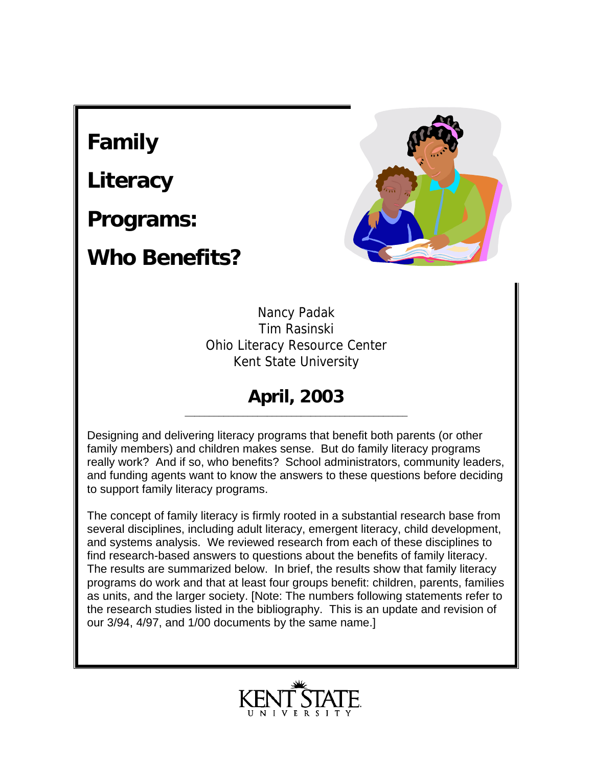## **Family**

**Literacy** 

**Programs:** 

## **Who Benefits?**



Nancy Padak Tim Rasinski Ohio Literacy Resource Center Kent State University

#### **April, 2003** \_\_\_\_\_\_\_\_\_\_\_\_\_\_\_\_\_\_\_\_\_\_\_\_\_\_\_\_\_\_\_\_\_\_\_\_\_\_\_\_\_\_\_\_\_\_

Designing and delivering literacy programs that benefit both parents (or other family members) and children makes sense. But do family literacy programs really work? And if so, who benefits? School administrators, community leaders, and funding agents want to know the answers to these questions before deciding to support family literacy programs.

The concept of family literacy is firmly rooted in a substantial research base from several disciplines, including adult literacy, emergent literacy, child development, and systems analysis. We reviewed research from each of these disciplines to find research-based answers to questions about the benefits of family literacy. The results are summarized below. In brief, the results show that family literacy programs do work and that at least four groups benefit: children, parents, families as units, and the larger society. [Note: The numbers following statements refer to the research studies listed in the bibliography. This is an update and revision of our 3/94, 4/97, and 1/00 documents by the same name.]

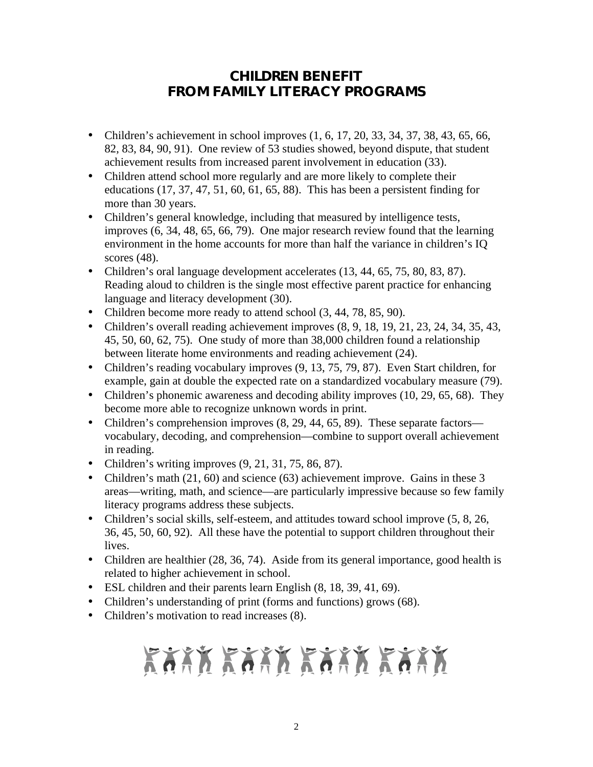### *CHILDREN* **BENEFIT FROM FAMILY LITERACY PROGRAMS**

- Children's achievement in school improves  $(1, 6, 17, 20, 33, 34, 37, 38, 43, 65, 66,$ 82, 83, 84, 90, 91). One review of 53 studies showed, beyond dispute, that student achievement results from increased parent involvement in education (33).
- Children attend school more regularly and are more likely to complete their educations (17, 37, 47, 51, 60, 61, 65, 88). This has been a persistent finding for more than 30 years.
- Children's general knowledge, including that measured by intelligence tests, improves (6, 34, 48, 65, 66, 79). One major research review found that the learning environment in the home accounts for more than half the variance in children's IQ scores (48).
- Children's oral language development accelerates (13, 44, 65, 75, 80, 83, 87). Reading aloud to children is the single most effective parent practice for enhancing language and literacy development (30).
- Children become more ready to attend school  $(3, 44, 78, 85, 90)$ .
- Children's overall reading achievement improves  $(8, 9, 18, 19, 21, 23, 24, 34, 35, 43, 45)$ 45, 50, 60, 62, 75). One study of more than 38,000 children found a relationship between literate home environments and reading achievement (24).
- Children's reading vocabulary improves  $(9, 13, 75, 79, 87)$ . Even Start children, for example, gain at double the expected rate on a standardized vocabulary measure (79).
- Children's phonemic awareness and decoding ability improves (10, 29, 65, 68). They become more able to recognize unknown words in print.
- Children's comprehension improves  $(8, 29, 44, 65, 89)$ . These separate factors vocabulary, decoding, and comprehension—combine to support overall achievement in reading.
- Children's writing improves  $(9, 21, 31, 75, 86, 87)$ .
- Children's math (21, 60) and science (63) achievement improve. Gains in these 3 areas—writing, math, and science—are particularly impressive because so few family literacy programs address these subjects.
- Children's social skills, self-esteem, and attitudes toward school improve  $(5, 8, 26, 10)$ 36, 45, 50, 60, 92). All these have the potential to support children throughout their lives.
- Children are healthier (28, 36, 74). Aside from its general importance, good health is related to higher achievement in school.
- ESL children and their parents learn English  $(8, 18, 39, 41, 69)$ .
- Children's understanding of print (forms and functions) grows (68).
- Children's motivation to read increases (8).

# KAAN KAAN KAAN KAAN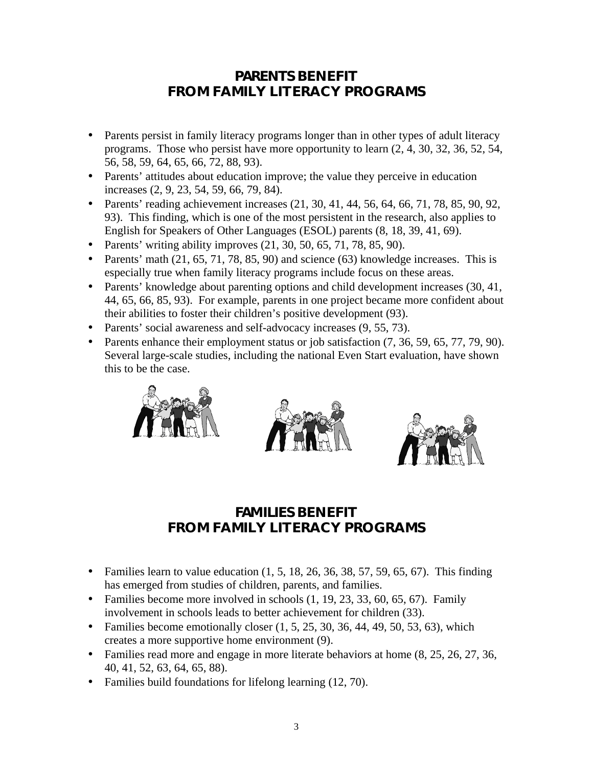#### *PARENTS* **BENEFIT FROM FAMILY LITERACY PROGRAMS**

- Parents persist in family literacy programs longer than in other types of adult literacy programs. Those who persist have more opportunity to learn (2, 4, 30, 32, 36, 52, 54, 56, 58, 59, 64, 65, 66, 72, 88, 93).
- Parents' attitudes about education improve; the value they perceive in education increases (2, 9, 23, 54, 59, 66, 79, 84).
- Parents' reading achievement increases (21, 30, 41, 44, 56, 64, 66, 71, 78, 85, 90, 92, 93). This finding, which is one of the most persistent in the research, also applies to English for Speakers of Other Languages (ESOL) parents (8, 18, 39, 41, 69).
- Parents' writing ability improves  $(21, 30, 50, 65, 71, 78, 85, 90)$ .
- Parents' math  $(21, 65, 71, 78, 85, 90)$  and science  $(63)$  knowledge increases. This is especially true when family literacy programs include focus on these areas.
- Parents' knowledge about parenting options and child development increases (30, 41, 44, 65, 66, 85, 93). For example, parents in one project became more confident about their abilities to foster their children's positive development (93).
- Parents' social awareness and self-advocacy increases  $(9, 55, 73)$ .
- Parents enhance their employment status or job satisfaction (7, 36, 59, 65, 77, 79, 90). Several large-scale studies, including the national Even Start evaluation, have shown this to be the case.







### *FAMILIES* **BENEFIT FROM FAMILY LITERACY PROGRAMS**

- Families learn to value education  $(1, 5, 18, 26, 36, 38, 57, 59, 65, 67)$ . This finding has emerged from studies of children, parents, and families.
- Families become more involved in schools  $(1, 19, 23, 33, 60, 65, 67)$ . Family involvement in schools leads to better achievement for children (33).
- Families become emotionally closer  $(1, 5, 25, 30, 36, 44, 49, 50, 53, 63)$ , which creates a more supportive home environment (9).
- Families read more and engage in more literate behaviors at home  $(8, 25, 26, 27, 36, 10)$ 40, 41, 52, 63, 64, 65, 88).
- Families build foundations for lifelong learning (12, 70).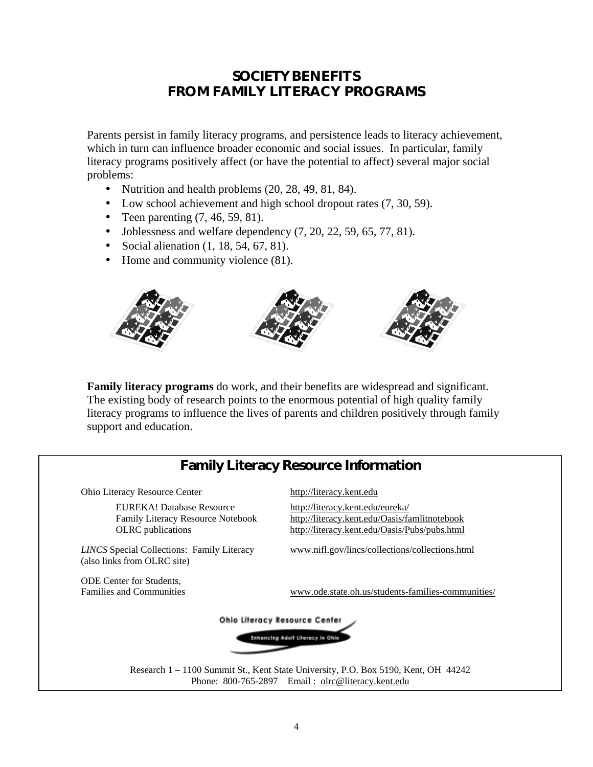#### *SOCIETY* **BENEFITS FROM FAMILY LITERACY PROGRAMS**

Parents persist in family literacy programs, and persistence leads to literacy achievement, which in turn can influence broader economic and social issues. In particular, family literacy programs positively affect (or have the potential to affect) several major social problems:

- Nutrition and health problems  $(20, 28, 49, 81, 84)$ .
- Low school achievement and high school dropout rates  $(7, 30, 59)$ .
- Teen parenting  $(7, 46, 59, 81)$ .
- Joblessness and welfare dependency  $(7, 20, 22, 59, 65, 77, 81)$ .
- Social alienation (1, 18, 54, 67, 81).
- Home and community violence (81).



**Family literacy programs** do work, and their benefits are widespread and significant. The existing body of research points to the enormous potential of high quality family literacy programs to influence the lives of parents and children positively through family support and education.

#### **Family Literacy Resource Information**

Ohio Literacy Resource Center <http://literacy.kent.edu>

EUREKA! Database Resource <http://literacy.kent.edu/eureka/>

(also links from OLRC site)

ODE Center for Students,

**Family CLRC** publications <http://literacy.kent.edu/Oasis/Pubs/pubs.html> Family Literacy Resource Notebook <http://literacy.kent.edu/Oasis/famlitnotebook>

*LINCS* Special Collections: Family Literacy www.nifl.gov/lincs/collections/collections.html

Families and Communities www.ode.state.oh.us/students-families-communities/



Research 1 – 1100 Summit St., Kent State University, P.O. Box 5190, Kent, OH 44242 Phone: 800-765-2897 Email: olrc@literacy.kent.edu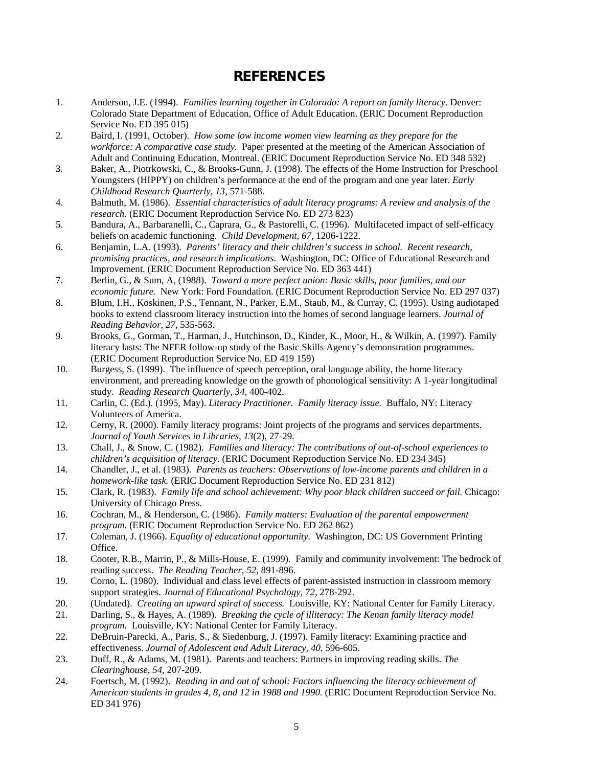#### **REFERENCES**

- 1. Anderson, J.E. (1994). *Families learning together in Colorado: A report on family literacy.* Denver: Colorado State Department of Education, Office of Adult Education. (ERIC Document Reproduction Service No. ED 395 015)
- 2. Baird, I. (1991, October). *How some low income women view learning as they prepare for the workforce: A comparative case study.* Paper presented at the meeting of the American Association of Adult and Continuing Education, Montreal. (ERIC Document Reproduction Service No. ED 348 532)
- 3. Baker, A., Piotrkowski, C., & Brooks-Gunn, J. (1998). The effects of the Home Instruction for Preschool Youngsters (HIPPY) on children's performance at the end of the program and one year later. *Early Childhood Research Quarterly, 13*, 571-588.
- 4. Balmuth, M. (1986). *Essential characteristics of adult literacy programs: A review and analysis of the research.* (ERIC Document Reproduction Service No. ED 273 823)
- 5. Bandura, A., Barbaranelli, C., Caprara, G., & Pastorelli, C. (1996). Multifaceted impact of self-efficacy beliefs on academic functioning. *Child Development, 67,* 1206-1222.
- 6. Benjamin, L.A. (1993). *Parents' literacy and their children's success in school. Recent research, promising practices, and research implications.* Washington, DC: Office of Educational Research and Improvement. (ERIC Document Reproduction Service No. ED 363 441)
- 7. Berlin, G., & Sum, A, (1988). *Toward a more perfect union: Basic skills, poor families, and our economic future.* New York: Ford Foundation. (ERIC Document Reproduction Service No. ED 297 037)
- 8. Blum, I.H., Koskinen, P.S., Tennant, N., Parker, E.M., Staub, M., & Curray, C. (1995). Using audiotaped books to extend classroom literacy instruction into the homes of second language learners. *Journal of Reading Behavior, 27*, 535-563.
- 9. Brooks, G., Gorman, T., Harman, J., Hutchinson, D., Kinder, K., Moor, H., & Wilkin, A. (1997). Family literacy lasts: The NFER follow-up study of the Basic Skills Agency's demonstration programmes. (ERIC Document Reproduction Service No. ED 419 159)
- 10. Burgess, S. (1999). The influence of speech perception, oral language ability, the home literacy environment, and prereading knowledge on the growth of phonological sensitivity: A 1-year longitudinal study. *Reading Research Quarterly, 34*, 400-402.
- 11. Carlin, C. (Ed.). (1995, May). *Literacy Practitioner. Family literacy issue.* Buffalo, NY: Literacy Volunteers of America.
- 12. Cerny, R. (2000). Family literacy programs: Joint projects of the programs and services departments. *Journal of Youth Services in Libraries, 13*(2), 27-29.
- 13. Chall, J., & Snow, C. (1982). *Families and literacy: The contributions of out-of-school experiences to children's acquisition of literacy.* (ERIC Document Reproduction Service No. ED 234 345)
- 14. Chandler, J., et al. (1983). *Parents as teachers: Observations of low-income parents and children in a homework-like task.* (ERIC Document Reproduction Service No. ED 231 812)
- 15. Clark, R. (1983). *Family life and school achievement: Why poor black children succeed or fail.* Chicago: University of Chicago Press.
- 16. Cochran, M., & Henderson, C. (1986). *Family matters: Evaluation of the parental empowerment program.* (ERIC Document Reproduction Service No. ED 262 862)
- 17. Coleman, J. (1966). *Equality of educational opportunity.* Washington, DC: US Government Printing Office.
- 18. Cooter, R.B., Marrin, P., & Mills-House, E. (1999). Family and community involvement: The bedrock of reading success. *The Reading Teacher, 52*, 891-896.
- 19. Corno, L. (1980). Individual and class level effects of parent-assisted instruction in classroom memory support strategies. *Journal of Educational Psychology, 72,* 278-292.
- 20. (Undated). *Creating an upward spiral of success.* Louisville, KY: National Center for Family Literacy.
- 21. Darling, S., & Hayes, A. (1989). *Breaking the cycle of illiteracy: The Kenan family literacy model program.* Louisville, KY: National Center for Family Literacy.
- 22. DeBruin-Parecki, A., Paris, S., & Siedenburg, J. (1997). Family literacy: Examining practice and effectiveness. *Journal of Adolescent and Adult Literacy, 40*, 596-605.
- 23. Duff, R., & Adams, M. (1981). Parents and teachers: Partners in improving reading skills. *The Clearinghouse, 54,* 207-209.
- 24. Foertsch, M. (1992). *Reading in and out of school: Factors influencing the literacy achievement of American students in grades 4, 8, and 12 in 1988 and 1990.* (ERIC Document Reproduction Service No. ED 341 976)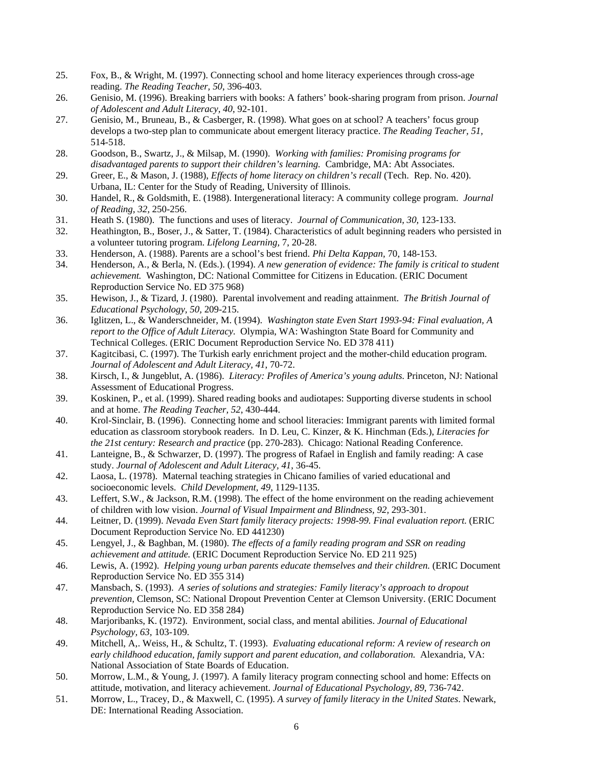- 25. Fox, B., & Wright, M. (1997). Connecting school and home literacy experiences through cross-age reading. *The Reading Teacher, 50*, 396-403.
- 26. Genisio, M. (1996). Breaking barriers with books: A fathers' book-sharing program from prison. *Journal of Adolescent and Adult Literacy, 40*, 92-101.
- 27. Genisio, M., Bruneau, B., & Casberger, R. (1998). What goes on at school? A teachers' focus group develops a two-step plan to communicate about emergent literacy practice. *The Reading Teacher, 51,* 514-518.
- 28. Goodson, B., Swartz, J., & Milsap, M. (1990). *Working with families: Promising programs for disadvantaged parents to support their children's learning.* Cambridge, MA: Abt Associates.
- 29. Greer, E., & Mason, J. (1988), *Effects of home literacy on children's recall* (Tech. Rep. No. 420). Urbana, IL: Center for the Study of Reading, University of Illinois.
- 30. Handel, R., & Goldsmith, E. (1988). Intergenerational literacy: A community college program. *Journal of Reading, 32,* 250-256.
- 31. Heath S. (1980). The functions and uses of literacy. *Journal of Communication, 30,* 123-133.
- 32. Heathington, B., Boser, J., & Satter, T. (1984). Characteristics of adult beginning readers who persisted in a volunteer tutoring program. *Lifelong Learning,* 7, 20-28.
- 33. Henderson, A. (1988). Parents are a school's best friend. *Phi Delta Kappan,* 70, 148-153.
- 34. Henderson, A., & Berla, N. (Eds.). (1994). *A new generation of evidence: The family is critical to student achievement.* Washington, DC: National Committee for Citizens in Education. (ERIC Document Reproduction Service No. ED 375 968)
- 35. Hewison, J., & Tizard, J. (1980). Parental involvement and reading attainment. *The British Journal of Educational Psychology, 50,* 209-215.
- 36. Iglitzen, L., & Wanderschneider, M. (1994). *Washington state Even Start 1993-94: Final evaluation, A report to the Office of Adult Literacy.* Olympia, WA: Washington State Board for Community and Technical Colleges. (ERIC Document Reproduction Service No. ED 378 411)
- 37. Kagitcibasi, C. (1997). The Turkish early enrichment project and the mother-child education program. *Journal of Adolescent and Adult Literacy, 41*, 70-72.
- 38. Kirsch, I., & Jungeblut, A. (1986). *Literacy: Profiles of America's young adults.* Princeton, NJ: National Assessment of Educational Progress.
- 39. Koskinen, P., et al. (1999). Shared reading books and audiotapes: Supporting diverse students in school and at home. *The Reading Teacher, 52*, 430-444.
- 40. Krol-Sinclair, B. (1996). Connecting home and school literacies: Immigrant parents with limited formal education as classroom storybook readers. In D. Leu, C. Kinzer, & K. Hinchman (Eds.), *Literacies for the 21st century: Research and practice* (pp. 270-283). Chicago: National Reading Conference.
- 41. Lanteigne, B., & Schwarzer, D. (1997). The progress of Rafael in English and family reading: A case study. *Journal of Adolescent and Adult Literacy, 41*, 36-45.
- 42. Laosa, L. (1978). Maternal teaching strategies in Chicano families of varied educational and socioeconomic levels. *Child Development, 49,* 1129-1135.
- 43. Leffert, S.W., & Jackson, R.M. (1998). The effect of the home environment on the reading achievement of children with low vision. *Journal of Visual Impairment and Blindness, 92,* 293-301.
- 44. Leitner, D. (1999). *Nevada Even Start family literacy projects: 1998-99. Final evaluation report.* (ERIC Document Reproduction Service No. ED 441230)
- 45. Lengyel, J., & Baghban, M. (1980). *The effects of a family reading program and SSR on reading achievement and attitude.* (ERIC Document Reproduction Service No. ED 211 925)
- 46. Lewis, A. (1992). *Helping young urban parents educate themselves and their children.* (ERIC Document Reproduction Service No. ED 355 314)
- 47. Mansbach, S. (1993). *A series of solutions and strategies: Family literacy's approach to dropout prevention,* Clemson, SC: National Dropout Prevention Center at Clemson University. (ERIC Document Reproduction Service No. ED 358 284)
- 48. Marjoribanks, K. (1972). Environment, social class, and mental abilities. *Journal of Educational Psychology, 63,* 103-109.
- 49. Mitchell, A,. Weiss, H., & Schultz, T. (1993). *Evaluating educational reform: A review of research on early childhood education, family support and parent education, and collaboration.* Alexandria, VA: National Association of State Boards of Education.
- 50. Morrow, L.M., & Young, J. (1997). A family literacy program connecting school and home: Effects on attitude, motivation, and literacy achievement. *Journal of Educational Psychology, 89*, 736-742.
- 51. Morrow, L., Tracey, D., & Maxwell, C. (1995). *A survey of family literacy in the United States*. Newark, DE: International Reading Association.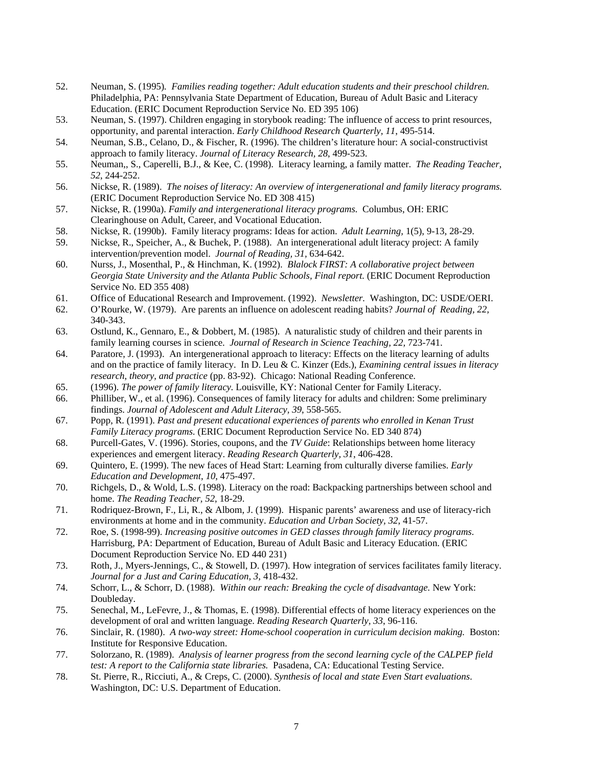- 52. Neuman, S. (1995)*. Families reading together: Adult education students and their preschool children.*  Philadelphia, PA: Pennsylvania State Department of Education, Bureau of Adult Basic and Literacy Education. (ERIC Document Reproduction Service No. ED 395 106)
- 53. Neuman, S. (1997). Children engaging in storybook reading: The influence of access to print resources, opportunity, and parental interaction. *Early Childhood Research Quarterly, 11*, 495-514.
- 54. Neuman, S.B., Celano, D., & Fischer, R. (1996). The children's literature hour: A social-constructivist approach to family literacy. *Journal of Literacy Research, 28*, 499-523.
- 55. Neuman,, S., Caperelli, B.J., & Kee, C. (1998). Literacy learning, a family matter. *The Reading Teacher, 52*, 244-252.
- 56. Nickse, R. (1989). *The noises of literacy: An overview of intergenerational and family literacy programs.*  (ERIC Document Reproduction Service No. ED 308 415)
- 57. Nickse, R. (1990a). *Family and intergenerational literacy programs.* Columbus, OH: ERIC Clearinghouse on Adult, Career, and Vocational Education.
- 58. Nickse, R. (1990b). Family literacy programs: Ideas for action. *Adult Learning,* 1(5), 9-13, 28-29.
- 59. Nickse, R., Speicher, A., & Buchek, P. (1988). An intergenerational adult literacy project: A family intervention/prevention model. *Journal of Reading, 31,* 634-642.
- 60. Nurss, J., Mosenthal, P., & Hinchman, K. (1992). *Blalock FIRST: A collaborative project between Georgia State University and the Atlanta Public Schools, Final report.* (ERIC Document Reproduction Service No. ED 355 408)
- 61. Office of Educational Research and Improvement. (1992). *Newsletter.* Washington, DC: USDE/OERI.
- 62. O'Rourke, W. (1979). Are parents an influence on adolescent reading habits? *Journal of Reading, 22,*  340-343.
- 63. Ostlund, K., Gennaro, E., & Dobbert, M. (1985). A naturalistic study of children and their parents in family learning courses in science. *Journal of Research in Science Teaching, 22,* 723-741.
- 64. Paratore, J. (1993). An intergenerational approach to literacy: Effects on the literacy learning of adults and on the practice of family literacy. In D. Leu & C. Kinzer (Eds.), *Examining central issues in literacy research, theory, and practice* (pp. 83-92). Chicago: National Reading Conference.
- 65. (1996). *The power of family literacy.* Louisville, KY: National Center for Family Literacy.
- 66. Philliber, W., et al. (1996). Consequences of family literacy for adults and children: Some preliminary findings. *Journal of Adolescent and Adult Literacy, 39*, 558-565.
- 67. Popp, R. (1991). *Past and present educational experiences of parents who enrolled in Kenan Trust Family Literacy programs.* (ERIC Document Reproduction Service No. ED 340 874)
- 68. Purcell-Gates, V. (1996). Stories, coupons, and the *TV Guide*: Relationships between home literacy experiences and emergent literacy. *Reading Research Quarterly, 31*, 406-428.
- 69. Quintero, E. (1999). The new faces of Head Start: Learning from culturally diverse families. *Early Education and Development, 10*, 475-497.
- 70. Richgels, D., & Wold, L.S. (1998). Literacy on the road: Backpacking partnerships between school and home. *The Reading Teacher, 52*, 18-29.
- 71. Rodriquez-Brown, F., Li, R., & Albom, J. (1999). Hispanic parents' awareness and use of literacy-rich environments at home and in the community. *Education and Urban Society, 32*, 41-57.
- 72. Roe, S. (1998-99). *Increasing positive outcomes in GED classes through family literacy programs*. Harrisburg, PA: Department of Education, Bureau of Adult Basic and Literacy Education. (ERIC Document Reproduction Service No. ED 440 231)
- 73. Roth, J., Myers-Jennings, C., & Stowell, D. (1997). How integration of services facilitates family literacy. *Journal for a Just and Caring Education, 3,* 418-432.
- 74. Schorr, L., & Schorr, D. (1988). *Within our reach: Breaking the cycle of disadvantage.* New York: Doubleday.
- 75. Senechal, M., LeFevre, J., & Thomas, E. (1998). Differential effects of home literacy experiences on the development of oral and written language. *Reading Research Quarterly, 33*, 96-116.
- 76. Sinclair, R. (1980). *A two-way street: Home-school cooperation in curriculum decision making.* Boston: Institute for Responsive Education.
- 77. Solorzano, R. (1989). *Analysis of learner progress from the second learning cycle of the CALPEP field test: A report to the California state libraries.* Pasadena, CA: Educational Testing Service.
- 78. St. Pierre, R., Ricciuti, A., & Creps, C. (2000). *Synthesis of local and state Even Start evaluations*. Washington, DC: U.S. Department of Education.